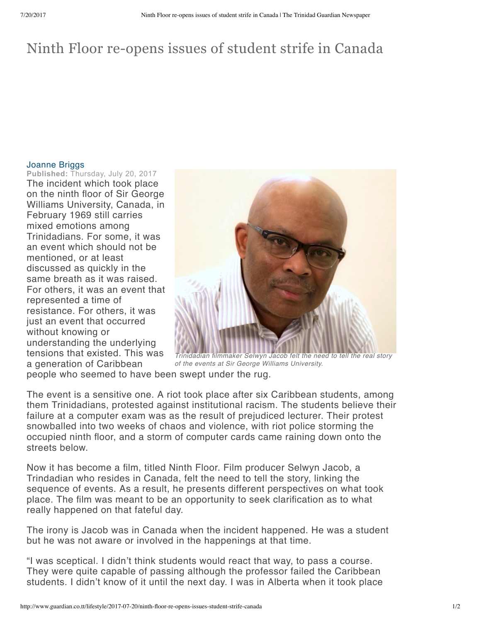## Ninth Floor re-opens issues of student strife in Canada

## [Joanne](http://www.guardian.co.tt/byline-authors/joanne-briggs) Briggs

**Published:** Thursday, July 20, 2017 The incident which took place on the ninth floor of Sir George Williams University, Canada, in February 1969 still carries mixed emotions among Trinidadians. For some, it was an event which should not be mentioned, or at least discussed as quickly in the same breath as it was raised. For others, it was an event that represented a time of resistance. For others, it was just an event that occurred without knowing or understanding the underlying tensions that existed. This was a generation of Caribbean



*Trinidadian filmmaker Selwyn Jacob felt the need to tell the real story of the events at Sir George Williams University.*

people who seemed to have been swept under the rug.

The event is a sensitive one. A riot took place after six Caribbean students, among them Trinidadians, protested against institutional racism. The students believe their failure at a computer exam was as the result of prejudiced lecturer. Their protest snowballed into two weeks of chaos and violence, with riot police storming the occupied ninth floor, and a storm of computer cards came raining down onto the streets below.

Now it has become a film, titled Ninth Floor. Film producer Selwyn Jacob, a Trindadian who resides in Canada, felt the need to tell the story, linking the sequence of events. As a result, he presents different perspectives on what took place. The film was meant to be an opportunity to seek clarification as to what really happened on that fateful day.

The irony is Jacob was in Canada when the incident happened. He was a student but he was not aware or involved in the happenings at that time.

"I was sceptical. I didn't think students would react that way, to pass a course. They were quite capable of passing although the professor failed the Caribbean students. I didn't know of it until the next day. I was in Alberta when it took place